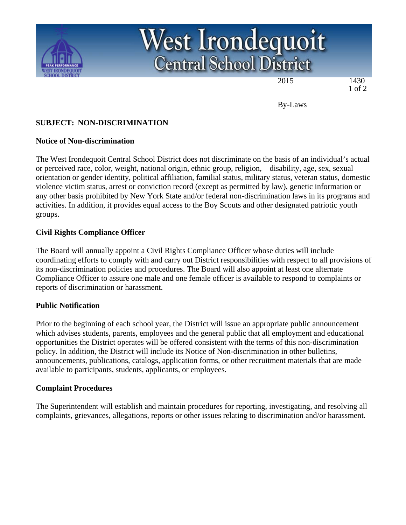

# West Irondequoit<br>Central School District

2015 1430 1 of 2

By-Laws

### **SUBJECT: NON-DISCRIMINATION**

#### **Notice of Non-discrimination**

The West Irondequoit Central School District does not discriminate on the basis of an individual's actual or perceived race, color, weight, national origin, ethnic group, religion, disability, age, sex, sexual orientation or gender identity, political affiliation, familial status, military status, veteran status, domestic violence victim status, arrest or conviction record (except as permitted by law), genetic information or any other basis prohibited by New York State and/or federal non-discrimination laws in its programs and activities. In addition, it provides equal access to the Boy Scouts and other designated patriotic youth groups.

#### **Civil Rights Compliance Officer**

The Board will annually appoint a Civil Rights Compliance Officer whose duties will include coordinating efforts to comply with and carry out District responsibilities with respect to all provisions of its non-discrimination policies and procedures. The Board will also appoint at least one alternate Compliance Officer to assure one male and one female officer is available to respond to complaints or reports of discrimination or harassment.

#### **Public Notification**

Prior to the beginning of each school year, the District will issue an appropriate public announcement which advises students, parents, employees and the general public that all employment and educational opportunities the District operates will be offered consistent with the terms of this non-discrimination policy. In addition, the District will include its Notice of Non-discrimination in other bulletins, announcements, publications, catalogs, application forms, or other recruitment materials that are made available to participants, students, applicants, or employees.

#### **Complaint Procedures**

The Superintendent will establish and maintain procedures for reporting, investigating, and resolving all complaints, grievances, allegations, reports or other issues relating to discrimination and/or harassment.